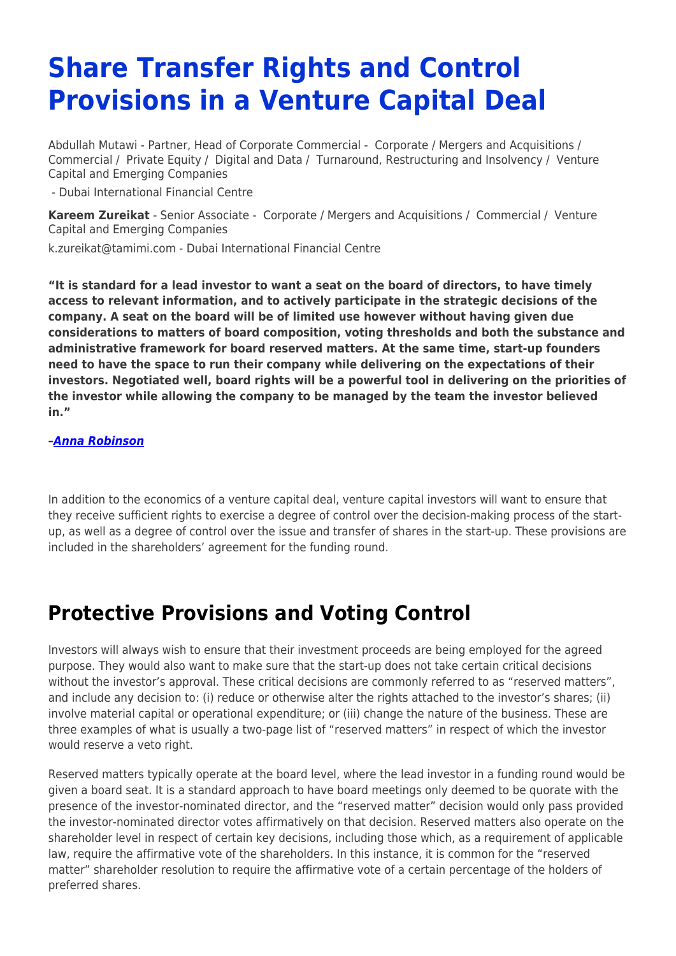# **Share Transfer Rights and Control Provisions in a Venture Capital Deal**

Abdullah Mutawi - Partner, Head of Corporate Commercial - [Corporate / Mergers and Acquisitions](https://www.tamimi.com/client-services/practices/corporate-mergers-acquisitions/) / [Commercial](https://www.tamimi.com/client-services/practices/commercial/) / [Private Equity](https://www.tamimi.com/client-services/practices/private-equity/) / [Digital and Data](https://www.tamimi.com/client-services/practices/digital-data/) / [Turnaround, Restructuring and Insolvency](https://www.tamimi.com/client-services/practices/turnaround-restructuring-insolvency/) / [Venture](https://www.tamimi.com/client-services/practices/venture-capital-emerging-companies/) [Capital and Emerging Companies](https://www.tamimi.com/client-services/practices/venture-capital-emerging-companies/)

- [Dubai International Financial Centre](https://www.tamimi.com/locations/uae/)

**[Kareem Zureikat](https://www.tamimi.com/find-a-lawyer/kareem-zureikat/)** - Senior Associate - [Corporate / Mergers and Acquisitions](https://www.tamimi.com/client-services/practices/corporate-mergers-acquisitions/) / [Commercial](https://www.tamimi.com/client-services/practices/commercial/) / [Venture](https://www.tamimi.com/client-services/practices/venture-capital-emerging-companies/) [Capital and Emerging Companies](https://www.tamimi.com/client-services/practices/venture-capital-emerging-companies/)

[k.zureikat@tamimi.com](mailto:k.zureikat@tamimi.com) - [Dubai International Financial Centre](https://www.tamimi.com/locations/uae/)

**"It is standard for a lead investor to want a seat on the board of directors, to have timely access to relevant information, and to actively participate in the strategic decisions of the company. A seat on the board will be of limited use however without having given due considerations to matters of board composition, voting thresholds and both the substance and administrative framework for board reserved matters. At the same time, start-up founders need to have the space to run their company while delivering on the expectations of their investors. Negotiated well, board rights will be a powerful tool in delivering on the priorities of the investor while allowing the company to be managed by the team the investor believed in."**

#### *[–Anna Robinson](https://www.tamimi.com/find-a-lawyer/anna-robinson/)*

In addition to the economics of a venture capital deal, venture capital investors will want to ensure that they receive sufficient rights to exercise a degree of control over the decision-making process of the startup, as well as a degree of control over the issue and transfer of shares in the start-up. These provisions are included in the shareholders' agreement for the funding round.

#### **Protective Provisions and Voting Control**

Investors will always wish to ensure that their investment proceeds are being employed for the agreed purpose. They would also want to make sure that the start-up does not take certain critical decisions without the investor's approval. These critical decisions are commonly referred to as "reserved matters", and include any decision to: (i) reduce or otherwise alter the rights attached to the investor's shares; (ii) involve material capital or operational expenditure; or (iii) change the nature of the business. These are three examples of what is usually a two-page list of "reserved matters" in respect of which the investor would reserve a veto right.

Reserved matters typically operate at the board level, where the lead investor in a funding round would be given a board seat. It is a standard approach to have board meetings only deemed to be quorate with the presence of the investor-nominated director, and the "reserved matter" decision would only pass provided the investor-nominated director votes affirmatively on that decision. Reserved matters also operate on the shareholder level in respect of certain key decisions, including those which, as a requirement of applicable law, require the affirmative vote of the shareholders. In this instance, it is common for the "reserved matter" shareholder resolution to require the affirmative vote of a certain percentage of the holders of preferred shares.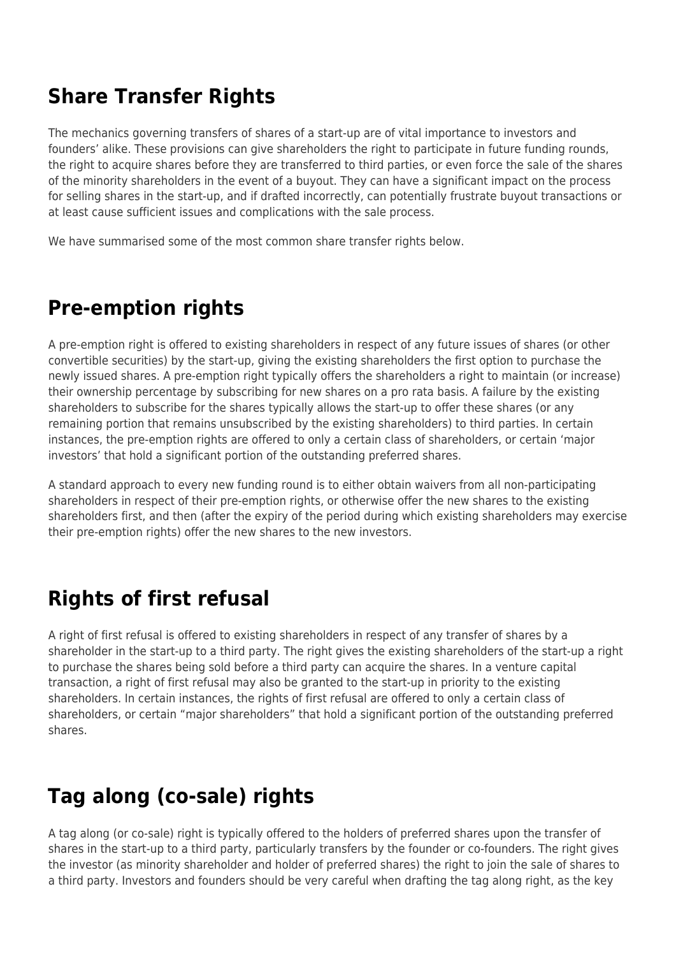## **Share Transfer Rights**

The mechanics governing transfers of shares of a start-up are of vital importance to investors and founders' alike. These provisions can give shareholders the right to participate in future funding rounds, the right to acquire shares before they are transferred to third parties, or even force the sale of the shares of the minority shareholders in the event of a buyout. They can have a significant impact on the process for selling shares in the start-up, and if drafted incorrectly, can potentially frustrate buyout transactions or at least cause sufficient issues and complications with the sale process.

We have summarised some of the most common share transfer rights below.

#### **Pre-emption rights**

A pre-emption right is offered to existing shareholders in respect of any future issues of shares (or other convertible securities) by the start-up, giving the existing shareholders the first option to purchase the newly issued shares. A pre-emption right typically offers the shareholders a right to maintain (or increase) their ownership percentage by subscribing for new shares on a pro rata basis. A failure by the existing shareholders to subscribe for the shares typically allows the start-up to offer these shares (or any remaining portion that remains unsubscribed by the existing shareholders) to third parties. In certain instances, the pre-emption rights are offered to only a certain class of shareholders, or certain 'major investors' that hold a significant portion of the outstanding preferred shares.

A standard approach to every new funding round is to either obtain waivers from all non-participating shareholders in respect of their pre-emption rights, or otherwise offer the new shares to the existing shareholders first, and then (after the expiry of the period during which existing shareholders may exercise their pre-emption rights) offer the new shares to the new investors.

## **Rights of first refusal**

A right of first refusal is offered to existing shareholders in respect of any transfer of shares by a shareholder in the start-up to a third party. The right gives the existing shareholders of the start-up a right to purchase the shares being sold before a third party can acquire the shares. In a venture capital transaction, a right of first refusal may also be granted to the start-up in priority to the existing shareholders. In certain instances, the rights of first refusal are offered to only a certain class of shareholders, or certain "major shareholders" that hold a significant portion of the outstanding preferred shares.

# **Tag along (co-sale) rights**

A tag along (or co-sale) right is typically offered to the holders of preferred shares upon the transfer of shares in the start-up to a third party, particularly transfers by the founder or co-founders. The right gives the investor (as minority shareholder and holder of preferred shares) the right to join the sale of shares to a third party. Investors and founders should be very careful when drafting the tag along right, as the key